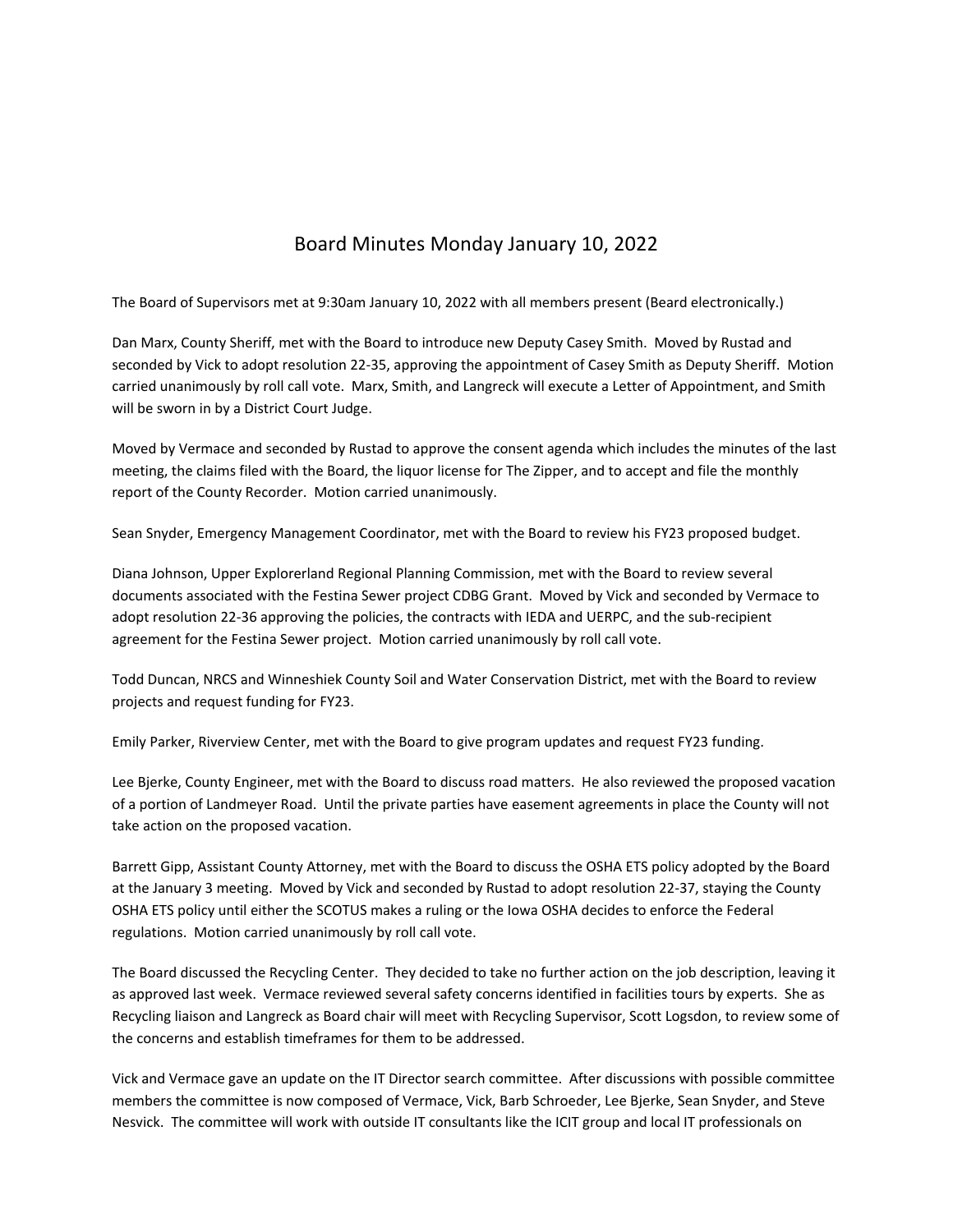## Board Minutes Monday January 10, 2022

The Board of Supervisors met at 9:30am January 10, 2022 with all members present (Beard electronically.)

Dan Marx, County Sheriff, met with the Board to introduce new Deputy Casey Smith. Moved by Rustad and seconded by Vick to adopt resolution 22‐35, approving the appointment of Casey Smith as Deputy Sheriff. Motion carried unanimously by roll call vote. Marx, Smith, and Langreck will execute a Letter of Appointment, and Smith will be sworn in by a District Court Judge.

Moved by Vermace and seconded by Rustad to approve the consent agenda which includes the minutes of the last meeting, the claims filed with the Board, the liquor license for The Zipper, and to accept and file the monthly report of the County Recorder. Motion carried unanimously.

Sean Snyder, Emergency Management Coordinator, met with the Board to review his FY23 proposed budget.

Diana Johnson, Upper Explorerland Regional Planning Commission, met with the Board to review several documents associated with the Festina Sewer project CDBG Grant. Moved by Vick and seconded by Vermace to adopt resolution 22‐36 approving the policies, the contracts with IEDA and UERPC, and the sub‐recipient agreement for the Festina Sewer project. Motion carried unanimously by roll call vote.

Todd Duncan, NRCS and Winneshiek County Soil and Water Conservation District, met with the Board to review projects and request funding for FY23.

Emily Parker, Riverview Center, met with the Board to give program updates and request FY23 funding.

Lee Bjerke, County Engineer, met with the Board to discuss road matters. He also reviewed the proposed vacation of a portion of Landmeyer Road. Until the private parties have easement agreements in place the County will not take action on the proposed vacation.

Barrett Gipp, Assistant County Attorney, met with the Board to discuss the OSHA ETS policy adopted by the Board at the January 3 meeting. Moved by Vick and seconded by Rustad to adopt resolution 22‐37, staying the County OSHA ETS policy until either the SCOTUS makes a ruling or the Iowa OSHA decides to enforce the Federal regulations. Motion carried unanimously by roll call vote.

The Board discussed the Recycling Center. They decided to take no further action on the job description, leaving it as approved last week. Vermace reviewed several safety concerns identified in facilities tours by experts. She as Recycling liaison and Langreck as Board chair will meet with Recycling Supervisor, Scott Logsdon, to review some of the concerns and establish timeframes for them to be addressed.

Vick and Vermace gave an update on the IT Director search committee. After discussions with possible committee members the committee is now composed of Vermace, Vick, Barb Schroeder, Lee Bjerke, Sean Snyder, and Steve Nesvick. The committee will work with outside IT consultants like the ICIT group and local IT professionals on